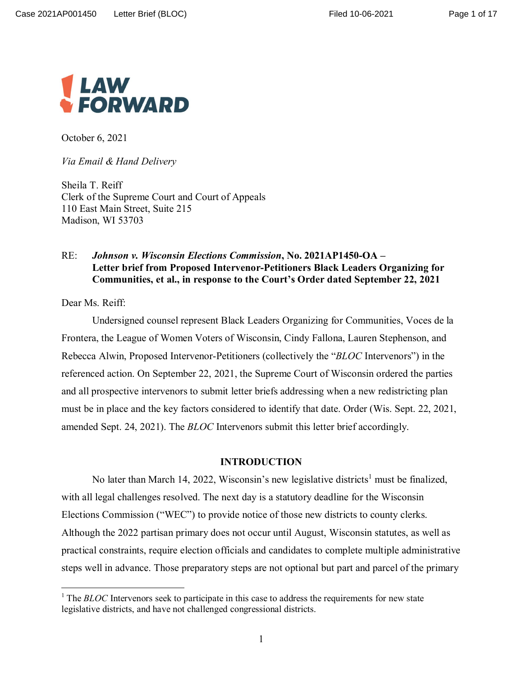

October 6, 2021

*Via Email & Hand Delivery*

Sheila T. Reiff Clerk of the Supreme Court and Court of Appeals 110 East Main Street, Suite 215 Madison, WI 53703

## RE: *Johnson v. Wisconsin Elections Commission***, No. 2021AP1450-OA – Letter brief from Proposed Intervenor-Petitioners Black Leaders Organizing for Communities, et al., in response to the Court's Order dated September 22, 2021**

Dear Ms. Reiff:

Undersigned counsel represent Black Leaders Organizing for Communities, Voces de la Frontera, the League of Women Voters of Wisconsin, Cindy Fallona, Lauren Stephenson, and Rebecca Alwin, Proposed Intervenor-Petitioners (collectively the "*BLOC* Intervenors") in the referenced action. On September 22, 2021, the Supreme Court of Wisconsin ordered the parties and all prospective intervenors to submit letter briefs addressing when a new redistricting plan must be in place and the key factors considered to identify that date. Order (Wis. Sept. 22, 2021, amended Sept. 24, 2021). The *BLOC* Intervenors submit this letter brief accordingly.

#### **INTRODUCTION**

No later than March 14, 2022, Wisconsin's new legislative districts<sup>1</sup> must be finalized, with all legal challenges resolved. The next day is a statutory deadline for the Wisconsin Elections Commission ("WEC") to provide notice of those new districts to county clerks. Although the 2022 partisan primary does not occur until August, Wisconsin statutes, as well as practical constraints, require election officials and candidates to complete multiple administrative steps well in advance. Those preparatory steps are not optional but part and parcel of the primary

<sup>&</sup>lt;sup>1</sup> The *BLOC* Intervenors seek to participate in this case to address the requirements for new state legislative districts, and have not challenged congressional districts.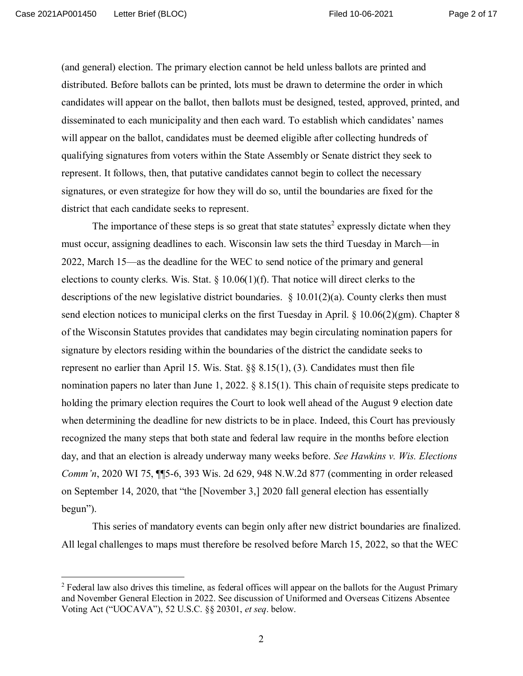Page 2 of 17

(and general) election. The primary election cannot be held unless ballots are printed and distributed. Before ballots can be printed, lots must be drawn to determine the order in which candidates will appear on the ballot, then ballots must be designed, tested, approved, printed, and disseminated to each municipality and then each ward. To establish which candidates' names will appear on the ballot, candidates must be deemed eligible after collecting hundreds of qualifying signatures from voters within the State Assembly or Senate district they seek to represent. It follows, then, that putative candidates cannot begin to collect the necessary signatures, or even strategize for how they will do so, until the boundaries are fixed for the district that each candidate seeks to represent.

The importance of these steps is so great that state statutes<sup>2</sup> expressly dictate when they must occur, assigning deadlines to each. Wisconsin law sets the third Tuesday in March—in 2022, March 15—as the deadline for the WEC to send notice of the primary and general elections to county clerks. Wis. Stat.  $\S 10.06(1)(f)$ . That notice will direct clerks to the descriptions of the new legislative district boundaries.  $\S$  10.01(2)(a). County clerks then must send election notices to municipal clerks on the first Tuesday in April. § 10.06(2)(gm). Chapter 8 of the Wisconsin Statutes provides that candidates may begin circulating nomination papers for signature by electors residing within the boundaries of the district the candidate seeks to represent no earlier than April 15. Wis. Stat. §§ 8.15(1), (3). Candidates must then file nomination papers no later than June 1, 2022.  $\S 8.15(1)$ . This chain of requisite steps predicate to holding the primary election requires the Court to look well ahead of the August 9 election date when determining the deadline for new districts to be in place. Indeed, this Court has previously recognized the many steps that both state and federal law require in the months before election day, and that an election is already underway many weeks before. *See Hawkins v. Wis. Elections Comm'n*, 2020 WI 75, ¶¶5-6, 393 Wis. 2d 629, 948 N.W.2d 877 (commenting in order released on September 14, 2020, that "the [November 3,] 2020 fall general election has essentially begun").

This series of mandatory events can begin only after new district boundaries are finalized. All legal challenges to maps must therefore be resolved before March 15, 2022, so that the WEC

 $2$  Federal law also drives this timeline, as federal offices will appear on the ballots for the August Primary and November General Election in 2022. See discussion of Uniformed and Overseas Citizens Absentee Voting Act ("UOCAVA"), 52 U.S.C. §§ 20301, *et seq*. below.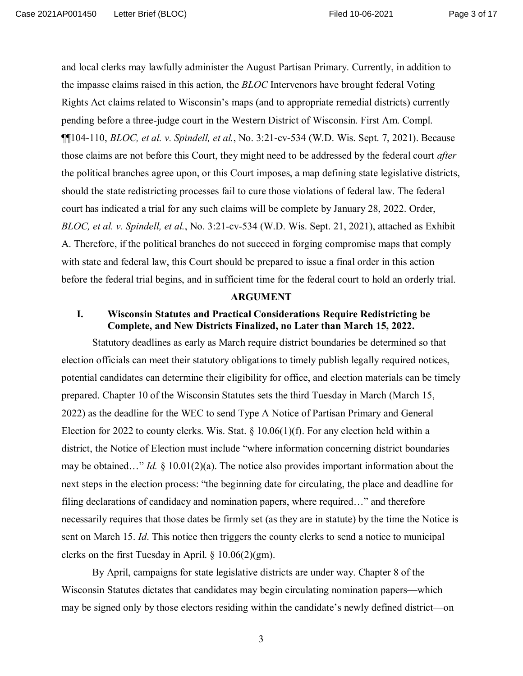and local clerks may lawfully administer the August Partisan Primary. Currently, in addition to the impasse claims raised in this action, the *BLOC* Intervenors have brought federal Voting Rights Act claims related to Wisconsin's maps (and to appropriate remedial districts) currently pending before a three-judge court in the Western District of Wisconsin. First Am. Compl. ¶¶104-110, *BLOC, et al. v. Spindell, et al.*, No. 3:21-cv-534 (W.D. Wis. Sept. 7, 2021). Because those claims are not before this Court, they might need to be addressed by the federal court *after* the political branches agree upon, or this Court imposes, a map defining state legislative districts, should the state redistricting processes fail to cure those violations of federal law. The federal court has indicated a trial for any such claims will be complete by January 28, 2022. Order, *BLOC, et al. v. Spindell, et al.*, No. 3:21-cv-534 (W.D. Wis. Sept. 21, 2021), attached as Exhibit A. Therefore, if the political branches do not succeed in forging compromise maps that comply with state and federal law, this Court should be prepared to issue a final order in this action before the federal trial begins, and in sufficient time for the federal court to hold an orderly trial.

#### **ARGUMENT**

## **I. Wisconsin Statutes and Practical Considerations Require Redistricting be Complete, and New Districts Finalized, no Later than March 15, 2022.**

Statutory deadlines as early as March require district boundaries be determined so that election officials can meet their statutory obligations to timely publish legally required notices, potential candidates can determine their eligibility for office, and election materials can be timely prepared. Chapter 10 of the Wisconsin Statutes sets the third Tuesday in March (March 15, 2022) as the deadline for the WEC to send Type A Notice of Partisan Primary and General Election for 2022 to county clerks. Wis. Stat.  $\S 10.06(1)(f)$ . For any election held within a district, the Notice of Election must include "where information concerning district boundaries may be obtained…" *Id.* § 10.01(2)(a). The notice also provides important information about the next steps in the election process: "the beginning date for circulating, the place and deadline for filing declarations of candidacy and nomination papers, where required…" and therefore necessarily requires that those dates be firmly set (as they are in statute) by the time the Notice is sent on March 15. *Id*. This notice then triggers the county clerks to send a notice to municipal clerks on the first Tuesday in April.  $\S$  10.06(2)(gm).

By April, campaigns for state legislative districts are under way. Chapter 8 of the Wisconsin Statutes dictates that candidates may begin circulating nomination papers—which may be signed only by those electors residing within the candidate's newly defined district—on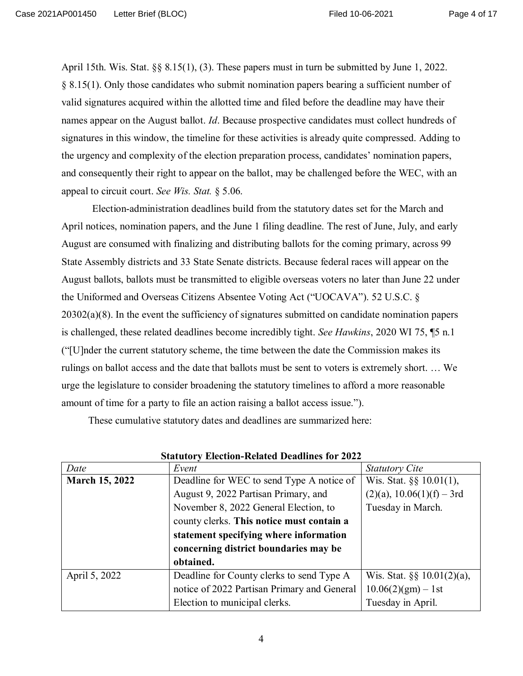April 15th. Wis. Stat. §§ 8.15(1), (3). These papers must in turn be submitted by June 1, 2022. § 8.15(1). Only those candidates who submit nomination papers bearing a sufficient number of valid signatures acquired within the allotted time and filed before the deadline may have their names appear on the August ballot. *Id*. Because prospective candidates must collect hundreds of signatures in this window, the timeline for these activities is already quite compressed. Adding to the urgency and complexity of the election preparation process, candidates' nomination papers, and consequently their right to appear on the ballot, may be challenged before the WEC, with an appeal to circuit court. *See Wis. Stat.* § 5.06.

Election-administration deadlines build from the statutory dates set for the March and April notices, nomination papers, and the June 1 filing deadline. The rest of June, July, and early August are consumed with finalizing and distributing ballots for the coming primary, across 99 State Assembly districts and 33 State Senate districts. Because federal races will appear on the August ballots, ballots must be transmitted to eligible overseas voters no later than June 22 under the Uniformed and Overseas Citizens Absentee Voting Act ("UOCAVA"). 52 U.S.C. § 20302(a)(8). In the event the sufficiency of signatures submitted on candidate nomination papers is challenged, these related deadlines become incredibly tight. *See Hawkins*, 2020 WI 75, ¶5 n.1 ("[U]nder the current statutory scheme, the time between the date the Commission makes its rulings on ballot access and the date that ballots must be sent to voters is extremely short. … We urge the legislature to consider broadening the statutory timelines to afford a more reasonable amount of time for a party to file an action raising a ballot access issue.").

These cumulative statutory dates and deadlines are summarized here:

| Date                  | Event                                       | <b>Statutory Cite</b>           |
|-----------------------|---------------------------------------------|---------------------------------|
| <b>March 15, 2022</b> | Deadline for WEC to send Type A notice of   | Wis. Stat. $\S\S 10.01(1)$ ,    |
|                       | August 9, 2022 Partisan Primary, and        | $(2)(a)$ , 10.06 $(1)(f)$ – 3rd |
|                       | November 8, 2022 General Election, to       | Tuesday in March.               |
|                       | county clerks. This notice must contain a   |                                 |
|                       | statement specifying where information      |                                 |
|                       | concerning district boundaries may be       |                                 |
|                       | obtained.                                   |                                 |
| April 5, 2022         | Deadline for County clerks to send Type A   | Wis. Stat. $\S\S 10.01(2)(a)$ , |
|                       | notice of 2022 Partisan Primary and General | $10.06(2)(gm) - 1st$            |
|                       | Election to municipal clerks.               | Tuesday in April.               |

**Statutory Election-Related Deadlines for 2022**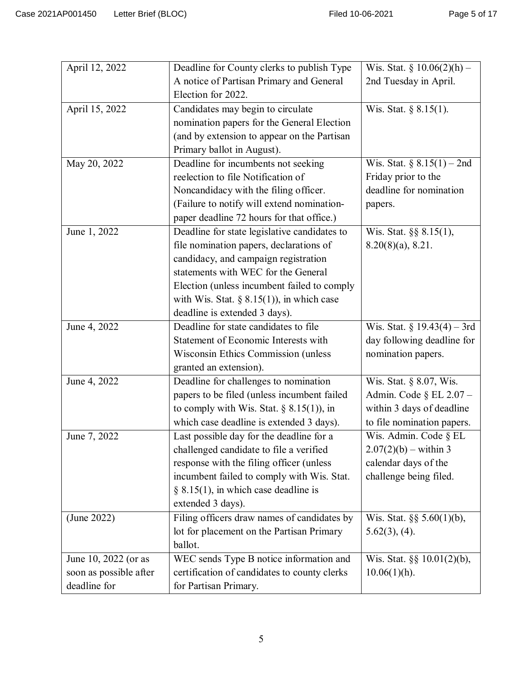| April 12, 2022         | Deadline for County clerks to publish Type   | Wis. Stat. § $10.06(2)(h)$ –    |
|------------------------|----------------------------------------------|---------------------------------|
|                        | A notice of Partisan Primary and General     | 2nd Tuesday in April.           |
|                        | Election for 2022.                           |                                 |
| April 15, 2022         | Candidates may begin to circulate            | Wis. Stat. § 8.15(1).           |
|                        | nomination papers for the General Election   |                                 |
|                        | (and by extension to appear on the Partisan  |                                 |
|                        | Primary ballot in August).                   |                                 |
|                        | Deadline for incumbents not seeking          |                                 |
| May 20, 2022           |                                              | Wis. Stat. § $8.15(1) - 2nd$    |
|                        | reelection to file Notification of           | Friday prior to the             |
|                        | Noncandidacy with the filing officer.        | deadline for nomination         |
|                        | (Failure to notify will extend nomination-   | papers.                         |
|                        | paper deadline 72 hours for that office.)    |                                 |
| June 1, 2022           | Deadline for state legislative candidates to | Wis. Stat. §§ 8.15(1),          |
|                        | file nomination papers, declarations of      | $8.20(8)(a)$ , 8.21.            |
|                        | candidacy, and campaign registration         |                                 |
|                        | statements with WEC for the General          |                                 |
|                        | Election (unless incumbent failed to comply  |                                 |
|                        | with Wis. Stat. $\S$ 8.15(1)), in which case |                                 |
|                        | deadline is extended 3 days).                |                                 |
| June 4, 2022           | Deadline for state candidates to file        | Wis. Stat. $\S 19.43(4) - 3rd$  |
|                        | Statement of Economic Interests with         | day following deadline for      |
|                        | Wisconsin Ethics Commission (unless          | nomination papers.              |
|                        | granted an extension).                       |                                 |
| June 4, 2022           | Deadline for challenges to nomination        | Wis. Stat. § 8.07, Wis.         |
|                        | papers to be filed (unless incumbent failed  | Admin. Code $\S$ EL 2.07 -      |
|                        | to comply with Wis. Stat. $\S$ 8.15(1)), in  | within 3 days of deadline       |
|                        | which case deadline is extended 3 days).     | to file nomination papers.      |
| June 7, 2022           | Last possible day for the deadline for a     | Wis. Admin. Code § EL           |
|                        | challenged candidate to file a verified      | $2.07(2)(b) - \text{within } 3$ |
|                        | response with the filing officer (unless     | calendar days of the            |
|                        | incumbent failed to comply with Wis. Stat.   | challenge being filed.          |
|                        | § 8.15(1), in which case deadline is         |                                 |
|                        | extended 3 days).                            |                                 |
| (June 2022)            | Filing officers draw names of candidates by  | Wis. Stat. $\S$ § 5.60(1)(b),   |
|                        | lot for placement on the Partisan Primary    | $5.62(3)$ , (4).                |
|                        | ballot.                                      |                                 |
|                        | WEC sends Type B notice information and      |                                 |
| June 10, 2022 (or as   |                                              | Wis. Stat. $\S\S 10.01(2)(b)$ , |
| soon as possible after | certification of candidates to county clerks | $10.06(1)(h)$ .                 |
| deadline for           | for Partisan Primary.                        |                                 |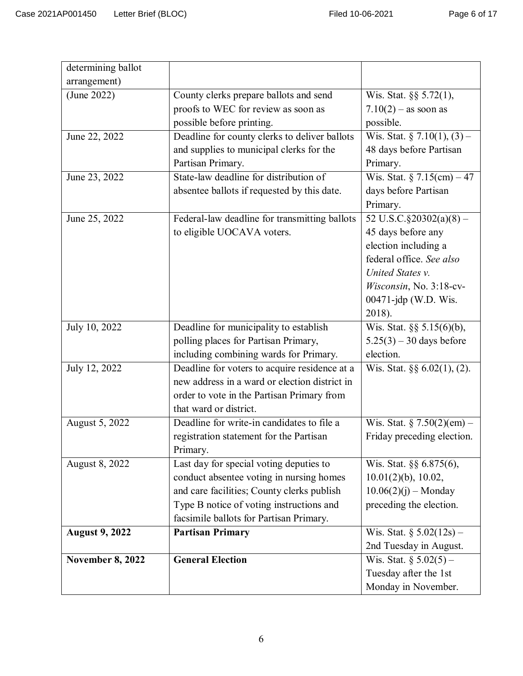| determining ballot      |                                               |                                  |
|-------------------------|-----------------------------------------------|----------------------------------|
| arrangement)            |                                               |                                  |
| (June 2022)             | County clerks prepare ballots and send        | Wis. Stat. $\S$ § 5.72(1),       |
|                         | proofs to WEC for review as soon as           | $7.10(2) - as soon as$           |
|                         | possible before printing.                     | possible.                        |
| June 22, 2022           | Deadline for county clerks to deliver ballots | Wis. Stat. § 7.10(1), (3) –      |
|                         | and supplies to municipal clerks for the      | 48 days before Partisan          |
|                         | Partisan Primary.                             | Primary.                         |
| June 23, 2022           | State-law deadline for distribution of        | Wis. Stat. $\S$ 7.15(cm) – 47    |
|                         | absentee ballots if requested by this date.   | days before Partisan             |
|                         |                                               | Primary.                         |
| June 25, 2022           | Federal-law deadline for transmitting ballots | 52 U.S.C. $\S 20302(a)(8)$ –     |
|                         | to eligible UOCAVA voters.                    | 45 days before any               |
|                         |                                               | election including a             |
|                         |                                               | federal office. See also         |
|                         |                                               | United States v.                 |
|                         |                                               | Wisconsin, No. 3:18-cv-          |
|                         |                                               | 00471-jdp (W.D. Wis.             |
|                         |                                               | 2018).                           |
| July 10, 2022           | Deadline for municipality to establish        | Wis. Stat. §§ 5.15(6)(b),        |
|                         | polling places for Partisan Primary,          | $5.25(3) - 30$ days before       |
|                         | including combining wards for Primary.        | election.                        |
| July 12, 2022           | Deadline for voters to acquire residence at a | Wis. Stat. $\S\S 6.02(1)$ , (2). |
|                         | new address in a ward or election district in |                                  |
|                         | order to vote in the Partisan Primary from    |                                  |
|                         | that ward or district.                        |                                  |
| August 5, 2022          | Deadline for write-in candidates to file a    | Wis. Stat. $§ 7.50(2)(em) -$     |
|                         | registration statement for the Partisan       | Friday preceding election.       |
|                         | Primary.                                      |                                  |
| August 8, 2022          | Last day for special voting deputies to       | Wis. Stat. §§ 6.875(6),          |
|                         | conduct absentee voting in nursing homes      | $10.01(2)(b)$ , $10.02$ ,        |
|                         | and care facilities; County clerks publish    | $10.06(2)(j)$ – Monday           |
|                         | Type B notice of voting instructions and      | preceding the election.          |
|                         | facsimile ballots for Partisan Primary.       |                                  |
| <b>August 9, 2022</b>   | <b>Partisan Primary</b>                       | Wis. Stat. $\S 5.02(12s)$ –      |
|                         |                                               | 2nd Tuesday in August.           |
| <b>November 8, 2022</b> | <b>General Election</b>                       | Wis. Stat. $\S 5.02(5)$ –        |
|                         |                                               | Tuesday after the 1st            |
|                         |                                               | Monday in November.              |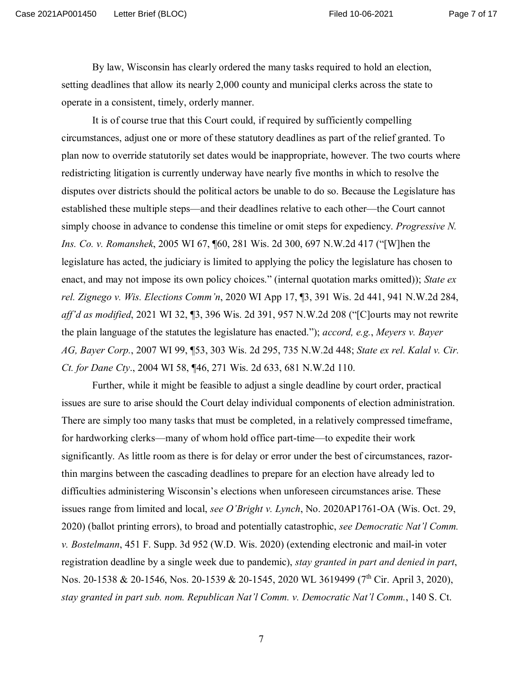Page 7 of 17

By law, Wisconsin has clearly ordered the many tasks required to hold an election, setting deadlines that allow its nearly 2,000 county and municipal clerks across the state to operate in a consistent, timely, orderly manner.

It is of course true that this Court could, if required by sufficiently compelling circumstances, adjust one or more of these statutory deadlines as part of the relief granted. To plan now to override statutorily set dates would be inappropriate, however. The two courts where redistricting litigation is currently underway have nearly five months in which to resolve the disputes over districts should the political actors be unable to do so. Because the Legislature has established these multiple steps—and their deadlines relative to each other—the Court cannot simply choose in advance to condense this timeline or omit steps for expediency. *Progressive N. Ins. Co. v. Romanshek*, 2005 WI 67, ¶60, 281 Wis. 2d 300, 697 N.W.2d 417 ("[W]hen the legislature has acted, the judiciary is limited to applying the policy the legislature has chosen to enact, and may not impose its own policy choices." (internal quotation marks omitted)); *State ex rel. Zignego v. Wis. Elections Comm'n*, 2020 WI App 17, ¶3, 391 Wis. 2d 441, 941 N.W.2d 284, *aff'd as modified*, 2021 WI 32, ¶3, 396 Wis. 2d 391, 957 N.W.2d 208 ("[C]ourts may not rewrite the plain language of the statutes the legislature has enacted."); *accord, e.g.*, *Meyers v. Bayer AG, Bayer Corp.*, 2007 WI 99, ¶53, 303 Wis. 2d 295, 735 N.W.2d 448; *State ex rel. Kalal v. Cir. Ct. for Dane Cty*., 2004 WI 58, ¶46, 271 Wis. 2d 633, 681 N.W.2d 110.

Further, while it might be feasible to adjust a single deadline by court order, practical issues are sure to arise should the Court delay individual components of election administration. There are simply too many tasks that must be completed, in a relatively compressed timeframe, for hardworking clerks—many of whom hold office part-time—to expedite their work significantly. As little room as there is for delay or error under the best of circumstances, razorthin margins between the cascading deadlines to prepare for an election have already led to difficulties administering Wisconsin's elections when unforeseen circumstances arise. These issues range from limited and local, *see O'Bright v. Lynch*, No. 2020AP1761-OA (Wis. Oct. 29, 2020) (ballot printing errors), to broad and potentially catastrophic, *see Democratic Nat'l Comm. v. Bostelmann*, 451 F. Supp. 3d 952 (W.D. Wis. 2020) (extending electronic and mail-in voter registration deadline by a single week due to pandemic), *stay granted in part and denied in part*, Nos. 20-1538 & 20-1546, Nos. 20-1539 & 20-1545, 2020 WL 3619499 (7<sup>th</sup> Cir. April 3, 2020), *stay granted in part sub. nom. Republican Nat'l Comm. v. Democratic Nat'l Comm.*, 140 S. Ct.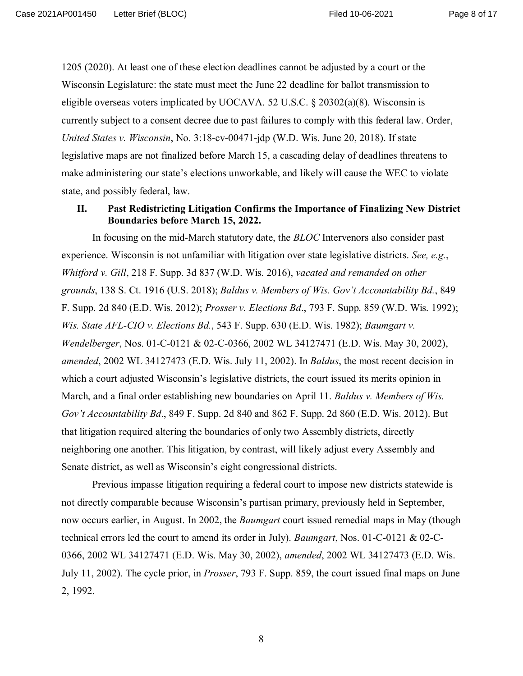Page 8 of 17

1205 (2020). At least one of these election deadlines cannot be adjusted by a court or the Wisconsin Legislature: the state must meet the June 22 deadline for ballot transmission to eligible overseas voters implicated by UOCAVA. 52 U.S.C.  $\S 20302(a)(8)$ . Wisconsin is currently subject to a consent decree due to past failures to comply with this federal law. Order, *United States v. Wisconsin*, No. 3:18-cv-00471-jdp (W.D. Wis. June 20, 2018). If state legislative maps are not finalized before March 15, a cascading delay of deadlines threatens to make administering our state's elections unworkable, and likely will cause the WEC to violate state, and possibly federal, law.

## **II. Past Redistricting Litigation Confirms the Importance of Finalizing New District Boundaries before March 15, 2022.**

In focusing on the mid-March statutory date, the *BLOC* Intervenors also consider past experience. Wisconsin is not unfamiliar with litigation over state legislative districts. *See, e.g.*, *Whitford v. Gill*, 218 F. Supp. 3d 837 (W.D. Wis. 2016), *vacated and remanded on other grounds*, 138 S. Ct. 1916 (U.S. 2018); *Baldus v. Members of Wis. Gov't Accountability Bd.*, 849 F. Supp. 2d 840 (E.D. Wis. 2012); *Prosser v. Elections Bd*., 793 F. Supp. 859 (W.D. Wis. 1992); *Wis. State AFL-CIO v. Elections Bd.*, 543 F. Supp. 630 (E.D. Wis. 1982); *Baumgart v. Wendelberger*, Nos. 01-C-0121 & 02-C-0366, 2002 WL 34127471 (E.D. Wis. May 30, 2002), *amended*, 2002 WL 34127473 (E.D. Wis. July 11, 2002). In *Baldus*, the most recent decision in which a court adjusted Wisconsin's legislative districts, the court issued its merits opinion in March, and a final order establishing new boundaries on April 11. *Baldus v. Members of Wis. Gov't Accountability Bd*., 849 F. Supp. 2d 840 and 862 F. Supp. 2d 860 (E.D. Wis. 2012). But that litigation required altering the boundaries of only two Assembly districts, directly neighboring one another. This litigation, by contrast, will likely adjust every Assembly and Senate district, as well as Wisconsin's eight congressional districts.

Previous impasse litigation requiring a federal court to impose new districts statewide is not directly comparable because Wisconsin's partisan primary, previously held in September, now occurs earlier, in August. In 2002, the *Baumgart* court issued remedial maps in May (though technical errors led the court to amend its order in July). *Baumgart*, Nos. 01-C-0121 & 02-C-0366, 2002 WL 34127471 (E.D. Wis. May 30, 2002), *amended*, 2002 WL 34127473 (E.D. Wis. July 11, 2002). The cycle prior, in *Prosser*, 793 F. Supp. 859, the court issued final maps on June 2, 1992.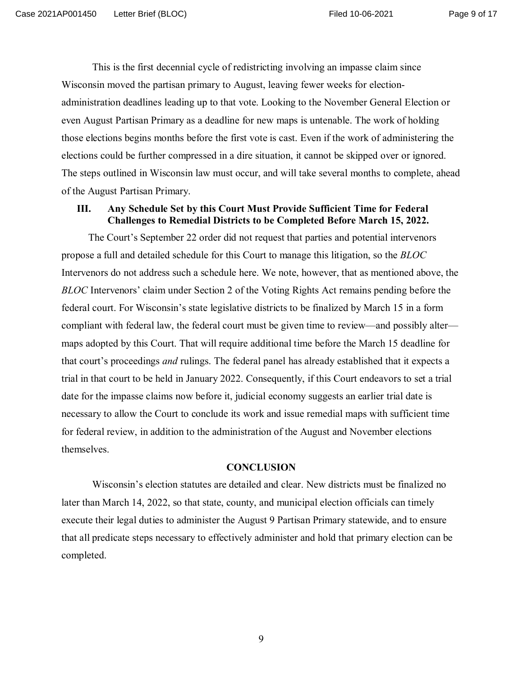This is the first decennial cycle of redistricting involving an impasse claim since Wisconsin moved the partisan primary to August, leaving fewer weeks for electionadministration deadlines leading up to that vote. Looking to the November General Election or even August Partisan Primary as a deadline for new maps is untenable. The work of holding those elections begins months before the first vote is cast. Even if the work of administering the elections could be further compressed in a dire situation, it cannot be skipped over or ignored. The steps outlined in Wisconsin law must occur, and will take several months to complete, ahead of the August Partisan Primary.

## **III. Any Schedule Set by this Court Must Provide Sufficient Time for Federal Challenges to Remedial Districts to be Completed Before March 15, 2022.**

The Court's September 22 order did not request that parties and potential intervenors propose a full and detailed schedule for this Court to manage this litigation, so the *BLOC* Intervenors do not address such a schedule here. We note, however, that as mentioned above, the *BLOC* Intervenors' claim under Section 2 of the Voting Rights Act remains pending before the federal court. For Wisconsin's state legislative districts to be finalized by March 15 in a form compliant with federal law, the federal court must be given time to review—and possibly alter maps adopted by this Court. That will require additional time before the March 15 deadline for that court's proceedings *and* rulings. The federal panel has already established that it expects a trial in that court to be held in January 2022. Consequently, if this Court endeavors to set a trial date for the impasse claims now before it, judicial economy suggests an earlier trial date is necessary to allow the Court to conclude its work and issue remedial maps with sufficient time for federal review, in addition to the administration of the August and November elections themselves.

#### **CONCLUSION**

Wisconsin's election statutes are detailed and clear. New districts must be finalized no later than March 14, 2022, so that state, county, and municipal election officials can timely execute their legal duties to administer the August 9 Partisan Primary statewide, and to ensure that all predicate steps necessary to effectively administer and hold that primary election can be completed.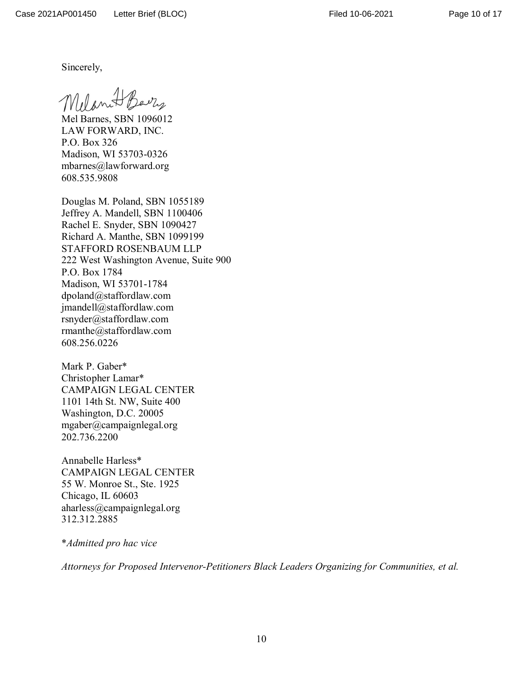Sincerely,

Melanet Barry

Mel Barnes, SBN 1096012 LAW FORWARD, INC. P.O. Box 326 Madison, WI 53703-0326 mbarnes@lawforward.org 608.535.9808

Douglas M. Poland, SBN 1055189 Jeffrey A. Mandell, SBN 1100406 Rachel E. Snyder, SBN 1090427 Richard A. Manthe, SBN 1099199 STAFFORD ROSENBAUM LLP 222 West Washington Avenue, Suite 900 P.O. Box 1784 Madison, WI 53701-1784 dpoland@staffordlaw.com jmandell@staffordlaw.com rsnyder@staffordlaw.com rmanthe@staffordlaw.com 608.256.0226

Mark P. Gaber\* Christopher Lamar\* CAMPAIGN LEGAL CENTER 1101 14th St. NW, Suite 400 Washington, D.C. 20005 mgaber@campaignlegal.org 202.736.2200

Annabelle Harless\* CAMPAIGN LEGAL CENTER 55 W. Monroe St., Ste. 1925 Chicago, IL 60603 aharless@campaignlegal.org 312.312.2885

\**Admitted pro hac vice*

*Attorneys for Proposed Intervenor-Petitioners Black Leaders Organizing for Communities, et al.*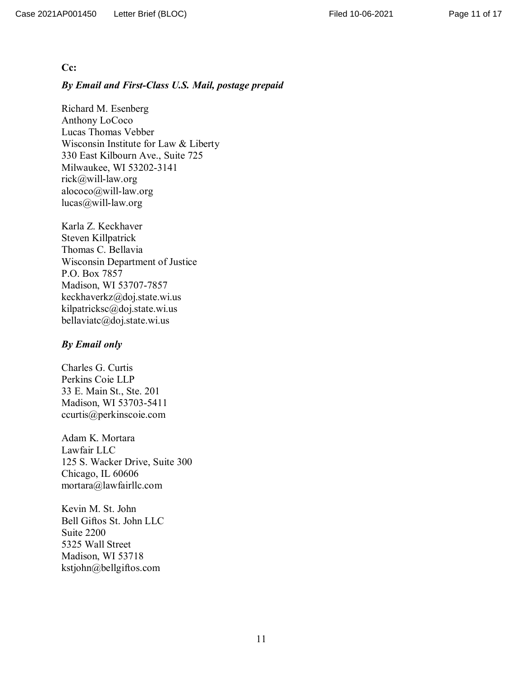#### **Cc:**

#### *By Email and First-Class U.S. Mail, postage prepaid*

Richard M. Esenberg Anthony LoCoco Lucas Thomas Vebber Wisconsin Institute for Law & Liberty 330 East Kilbourn Ave., Suite 725 Milwaukee, WI 53202-3141 rick@will-law.org alococo@will-law.org lucas@will-law.org

Karla Z. Keckhaver Steven Killpatrick Thomas C. Bellavia Wisconsin Department of Justice P.O. Box 7857 Madison, WI 53707-7857 keckhaverkz@doj.state.wi.us kilpatricksc@doj.state.wi.us bellaviatc@doj.state.wi.us

#### *By Email only*

Charles G. Curtis Perkins Coie LLP 33 E. Main St., Ste. 201 Madison, WI 53703-5411 ccurtis@perkinscoie.com

Adam K. Mortara Lawfair LLC 125 S. Wacker Drive, Suite 300 Chicago, IL 60606 mortara@lawfairllc.com

Kevin M. St. John Bell Giftos St. John LLC Suite 2200 5325 Wall Street Madison, WI 53718 kstjohn@bellgiftos.com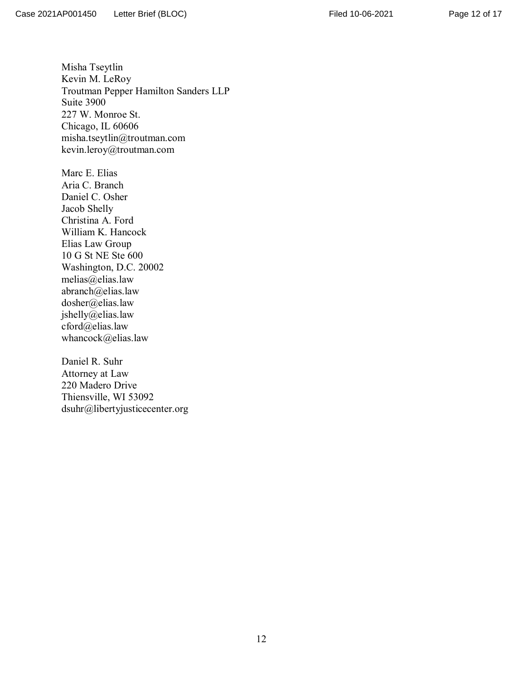Page 12 of 17

Misha Tseytlin Kevin M. LeRoy Troutman Pepper Hamilton Sanders LLP Suite 3900 227 W. Monroe St. Chicago, IL 60606 misha.tseytlin@troutman.com kevin.leroy@troutman.com

Marc E. Elias Aria C. Branch Daniel C. Osher Jacob Shelly Christina A. Ford William K. Hancock Elias Law Group 10 G St NE Ste 600 Washington, D.C. 20002 melias@elias.law abranch@elias.law dosher@elias.law jshelly@elias.law  $c$ ford $\omega$ elias.law whancock@elias.law

Daniel R. Suhr Attorney at Law 220 Madero Drive Thiensville, WI 53092 dsuhr@libertyjusticecenter.org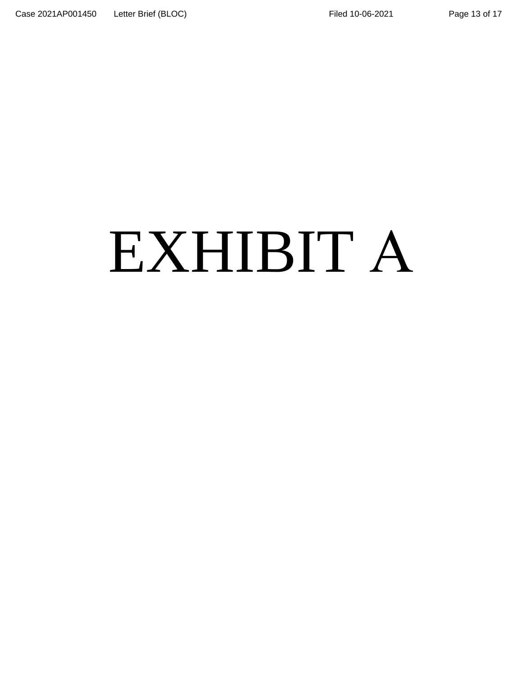# Page 13 of 17

# EXHIBIT A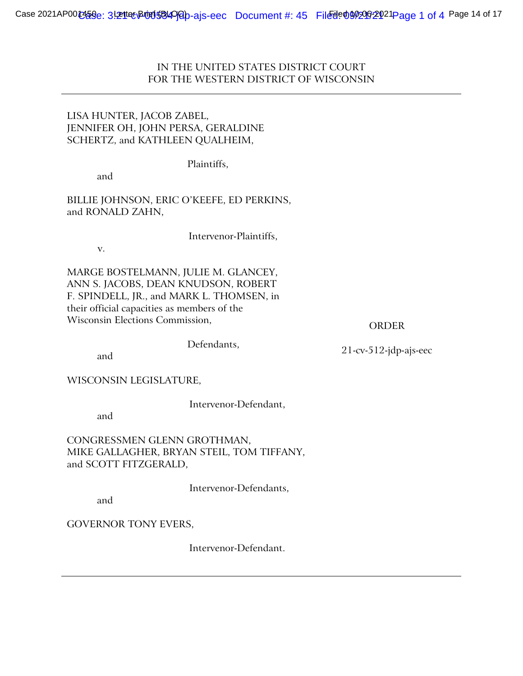IN THE UNITED STATES DISTRICT COURT FOR THE WESTERN DISTRICT OF WISCONSIN

# LISA HUNTER, JACOB ZABEL, JENNIFER OH, JOHN PERSA, GERALDINE SCHERTZ, and KATHLEEN QUALHEIM,

Plaintiffs,

and

BILLIE JOHNSON, ERIC O'KEEFE, ED PERKINS, and RONALD ZAHN,

v.

Intervenor-Plaintiffs,

MARGE BOSTELMANN, JULIE M. GLANCEY, ANN S. JACOBS, DEAN KNUDSON, ROBERT F. SPINDELL, JR., and MARK L. THOMSEN, in their official capacities as members of the Wisconsin Elections Commission,

ORDER

and

Defendants,

21-cv-512-jdp-ajs-eec

WISCONSIN LEGISLATURE,

Intervenor-Defendant,

and

CONGRESSMEN GLENN GROTHMAN, MIKE GALLAGHER, BRYAN STEIL, TOM TIFFANY, and SCOTT FITZGERALD,

Intervenor-Defendants,

and

GOVERNOR TONY EVERS,

Intervenor-Defendant.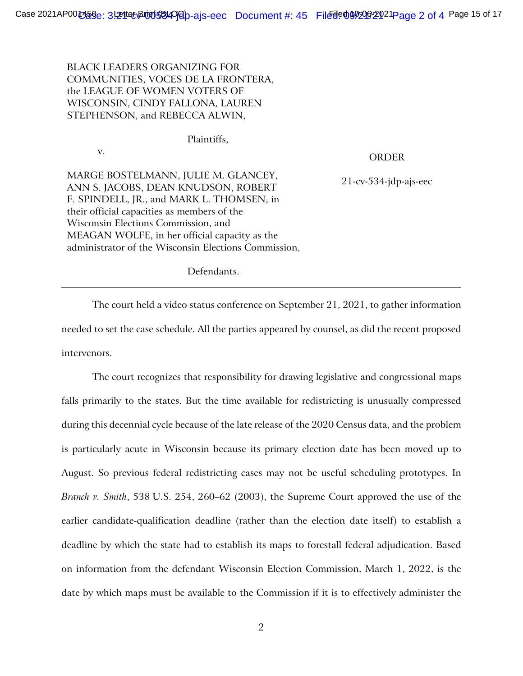BLACK LEADERS ORGANIZING FOR COMMUNITIES, VOCES DE LA FRONTERA, the LEAGUE OF WOMEN VOTERS OF WISCONSIN, CINDY FALLONA, LAUREN STEPHENSON, and REBECCA ALWIN,

Plaintiffs,

v.

## ORDER

MARGE BOSTELMANN, JULIE M. GLANCEY, ANN S. JACOBS, DEAN KNUDSON, ROBERT F. SPINDELL, JR., and MARK L. THOMSEN, in their official capacities as members of the Wisconsin Elections Commission, and MEAGAN WOLFE, in her official capacity as the administrator of the Wisconsin Elections Commission,

21-cv-534-jdp-ajs-eec

Defendants.

The court held a video status conference on September 21, 2021, to gather information needed to set the case schedule. All the parties appeared by counsel, as did the recent proposed intervenors.

The court recognizes that responsibility for drawing legislative and congressional maps falls primarily to the states. But the time available for redistricting is unusually compressed during this decennial cycle because of the late release of the 2020 Census data, and the problem is particularly acute in Wisconsin because its primary election date has been moved up to August. So previous federal redistricting cases may not be useful scheduling prototypes. In *Branch v. Smith*, 538 U.S. 254, 260–62 (2003), the Supreme Court approved the use of the earlier candidate-qualification deadline (rather than the election date itself) to establish a deadline by which the state had to establish its maps to forestall federal adjudication. Based on information from the defendant Wisconsin Election Commission, March 1, 2022, is the date by which maps must be available to the Commission if it is to effectively administer the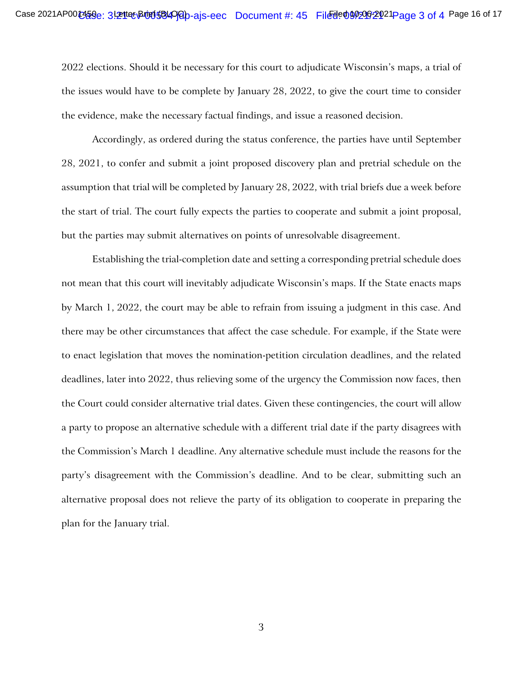2022 elections. Should it be necessary for this court to adjudicate Wisconsin's maps, a trial of the issues would have to be complete by January 28, 2022, to give the court time to consider the evidence, make the necessary factual findings, and issue a reasoned decision.

Accordingly, as ordered during the status conference, the parties have until September 28, 2021, to confer and submit a joint proposed discovery plan and pretrial schedule on the assumption that trial will be completed by January 28, 2022, with trial briefs due a week before the start of trial. The court fully expects the parties to cooperate and submit a joint proposal, but the parties may submit alternatives on points of unresolvable disagreement.

Establishing the trial-completion date and setting a corresponding pretrial schedule does not mean that this court will inevitably adjudicate Wisconsin's maps. If the State enacts maps by March 1, 2022, the court may be able to refrain from issuing a judgment in this case. And there may be other circumstances that affect the case schedule. For example, if the State were to enact legislation that moves the nomination-petition circulation deadlines, and the related deadlines, later into 2022, thus relieving some of the urgency the Commission now faces, then the Court could consider alternative trial dates. Given these contingencies, the court will allow a party to propose an alternative schedule with a different trial date if the party disagrees with the Commission's March 1 deadline. Any alternative schedule must include the reasons for the party's disagreement with the Commission's deadline. And to be clear, submitting such an alternative proposal does not relieve the party of its obligation to cooperate in preparing the plan for the January trial.